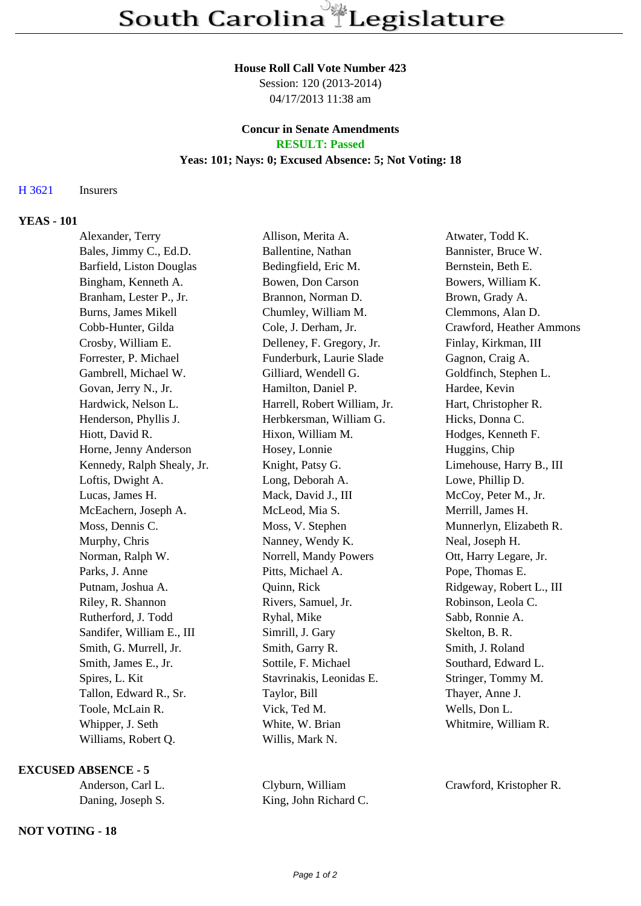#### **House Roll Call Vote Number 423**

Session: 120 (2013-2014) 04/17/2013 11:38 am

### **Concur in Senate Amendments RESULT: Passed**

# **Yeas: 101; Nays: 0; Excused Absence: 5; Not Voting: 18**

# H 3621 Insurers

# **YEAS - 101**

| Alexander, Terry           | Allison, Merita A.           | Atwater, Todd K.         |
|----------------------------|------------------------------|--------------------------|
| Bales, Jimmy C., Ed.D.     | Ballentine, Nathan           | Bannister, Bruce W.      |
| Barfield, Liston Douglas   | Bedingfield, Eric M.         | Bernstein, Beth E.       |
| Bingham, Kenneth A.        | Bowen, Don Carson            | Bowers, William K.       |
| Branham, Lester P., Jr.    | Brannon, Norman D.           | Brown, Grady A.          |
| Burns, James Mikell        | Chumley, William M.          | Clemmons, Alan D.        |
| Cobb-Hunter, Gilda         | Cole, J. Derham, Jr.         | Crawford, Heather Ammons |
| Crosby, William E.         | Delleney, F. Gregory, Jr.    | Finlay, Kirkman, III     |
| Forrester, P. Michael      | Funderburk, Laurie Slade     | Gagnon, Craig A.         |
| Gambrell, Michael W.       | Gilliard, Wendell G.         | Goldfinch, Stephen L.    |
| Govan, Jerry N., Jr.       | Hamilton, Daniel P.          | Hardee, Kevin            |
| Hardwick, Nelson L.        | Harrell, Robert William, Jr. | Hart, Christopher R.     |
| Henderson, Phyllis J.      | Herbkersman, William G.      | Hicks, Donna C.          |
| Hiott, David R.            | Hixon, William M.            | Hodges, Kenneth F.       |
| Horne, Jenny Anderson      | Hosey, Lonnie                | Huggins, Chip            |
| Kennedy, Ralph Shealy, Jr. | Knight, Patsy G.             | Limehouse, Harry B., III |
| Loftis, Dwight A.          | Long, Deborah A.             | Lowe, Phillip D.         |
| Lucas, James H.            | Mack, David J., III          | McCoy, Peter M., Jr.     |
| McEachern, Joseph A.       | McLeod, Mia S.               | Merrill, James H.        |
| Moss, Dennis C.            | Moss, V. Stephen             | Munnerlyn, Elizabeth R.  |
| Murphy, Chris              | Nanney, Wendy K.             | Neal, Joseph H.          |
| Norman, Ralph W.           | Norrell, Mandy Powers        | Ott, Harry Legare, Jr.   |
| Parks, J. Anne             | Pitts, Michael A.            | Pope, Thomas E.          |
| Putnam, Joshua A.          | Quinn, Rick                  | Ridgeway, Robert L., III |
| Riley, R. Shannon          | Rivers, Samuel, Jr.          | Robinson, Leola C.       |
| Rutherford, J. Todd        | Ryhal, Mike                  | Sabb, Ronnie A.          |
| Sandifer, William E., III  | Simrill, J. Gary             | Skelton, B. R.           |
| Smith, G. Murrell, Jr.     | Smith, Garry R.              | Smith, J. Roland         |
| Smith, James E., Jr.       | Sottile, F. Michael          | Southard, Edward L.      |
| Spires, L. Kit             | Stavrinakis, Leonidas E.     | Stringer, Tommy M.       |
| Tallon, Edward R., Sr.     | Taylor, Bill                 | Thayer, Anne J.          |
| Toole, McLain R.           | Vick, Ted M.                 | Wells, Don L.            |
| Whipper, J. Seth           | White, W. Brian              | Whitmire, William R.     |
| Williams, Robert Q.        | Willis, Mark N.              |                          |

### **EXCUSED ABSENCE - 5**

| Anderson, Carl L. | Clyburn, William      |  |
|-------------------|-----------------------|--|
| Daning, Joseph S. | King, John Richard C. |  |

Crawford, Kristopher R.

# **NOT VOTING - 18**